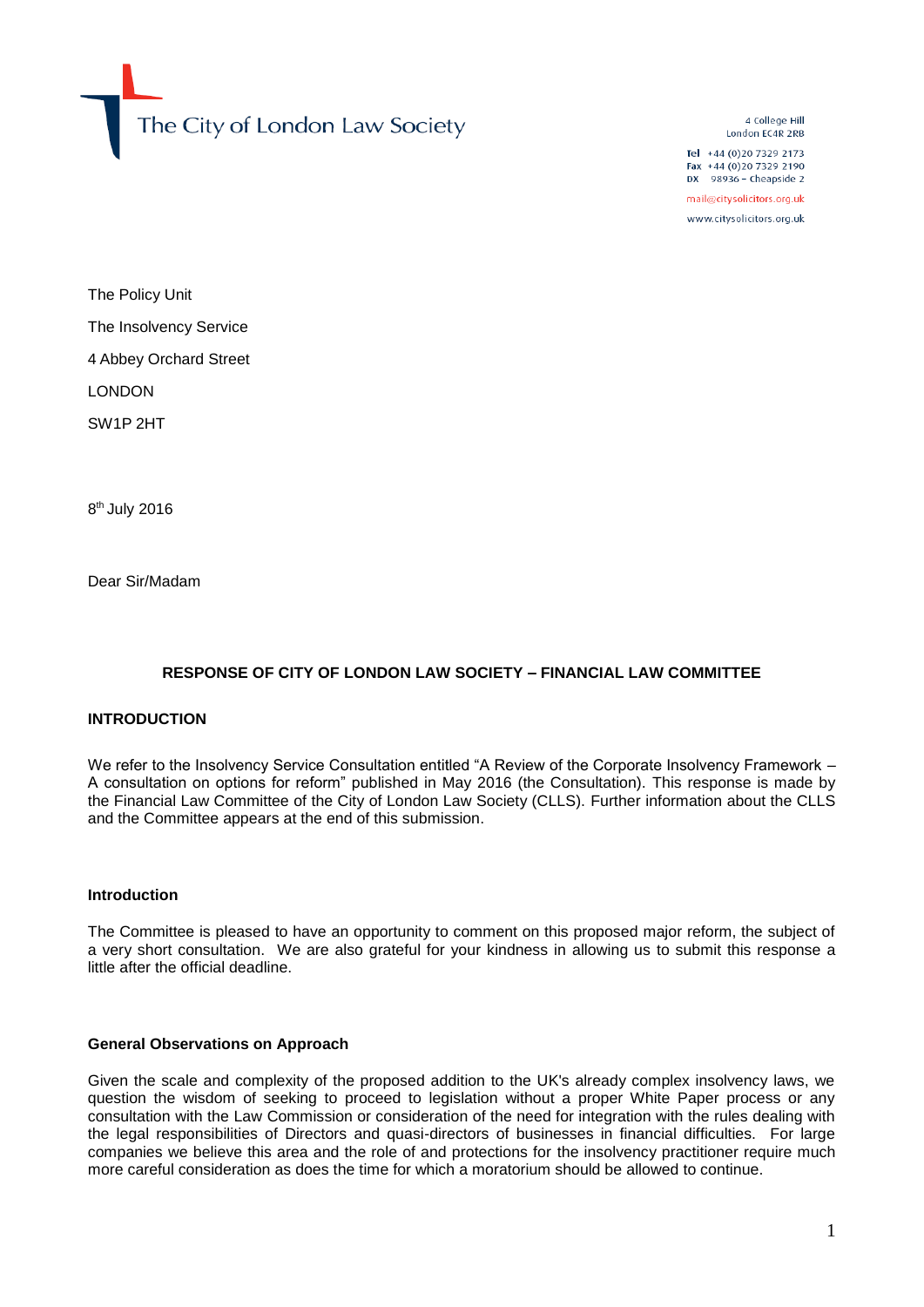The City of London Law Society

4 College Hill London EC4R 2RB

Tel +44 (0)20 7329 2173 Fax +44 (0)20 7329 2190  $DX$  98936 - Cheapside 2

mail@citysolicitors.org.uk

www.citysolicitors.org.uk

The Policy Unit The Insolvency Service 4 Abbey Orchard Street LONDON SW1P 2HT

8<sup>th</sup> July 2016

Dear Sir/Madam

# **RESPONSE OF CITY OF LONDON LAW SOCIETY – FINANCIAL LAW COMMITTEE**

### **INTRODUCTION**

We refer to the Insolvency Service Consultation entitled "A Review of the Corporate Insolvency Framework – A consultation on options for reform" published in May 2016 (the Consultation). This response is made by the Financial Law Committee of the City of London Law Society (CLLS). Further information about the CLLS and the Committee appears at the end of this submission.

#### **Introduction**

The Committee is pleased to have an opportunity to comment on this proposed major reform, the subject of a very short consultation. We are also grateful for your kindness in allowing us to submit this response a little after the official deadline.

#### **General Observations on Approach**

Given the scale and complexity of the proposed addition to the UK's already complex insolvency laws, we question the wisdom of seeking to proceed to legislation without a proper White Paper process or any consultation with the Law Commission or consideration of the need for integration with the rules dealing with the legal responsibilities of Directors and quasi-directors of businesses in financial difficulties. For large companies we believe this area and the role of and protections for the insolvency practitioner require much more careful consideration as does the time for which a moratorium should be allowed to continue.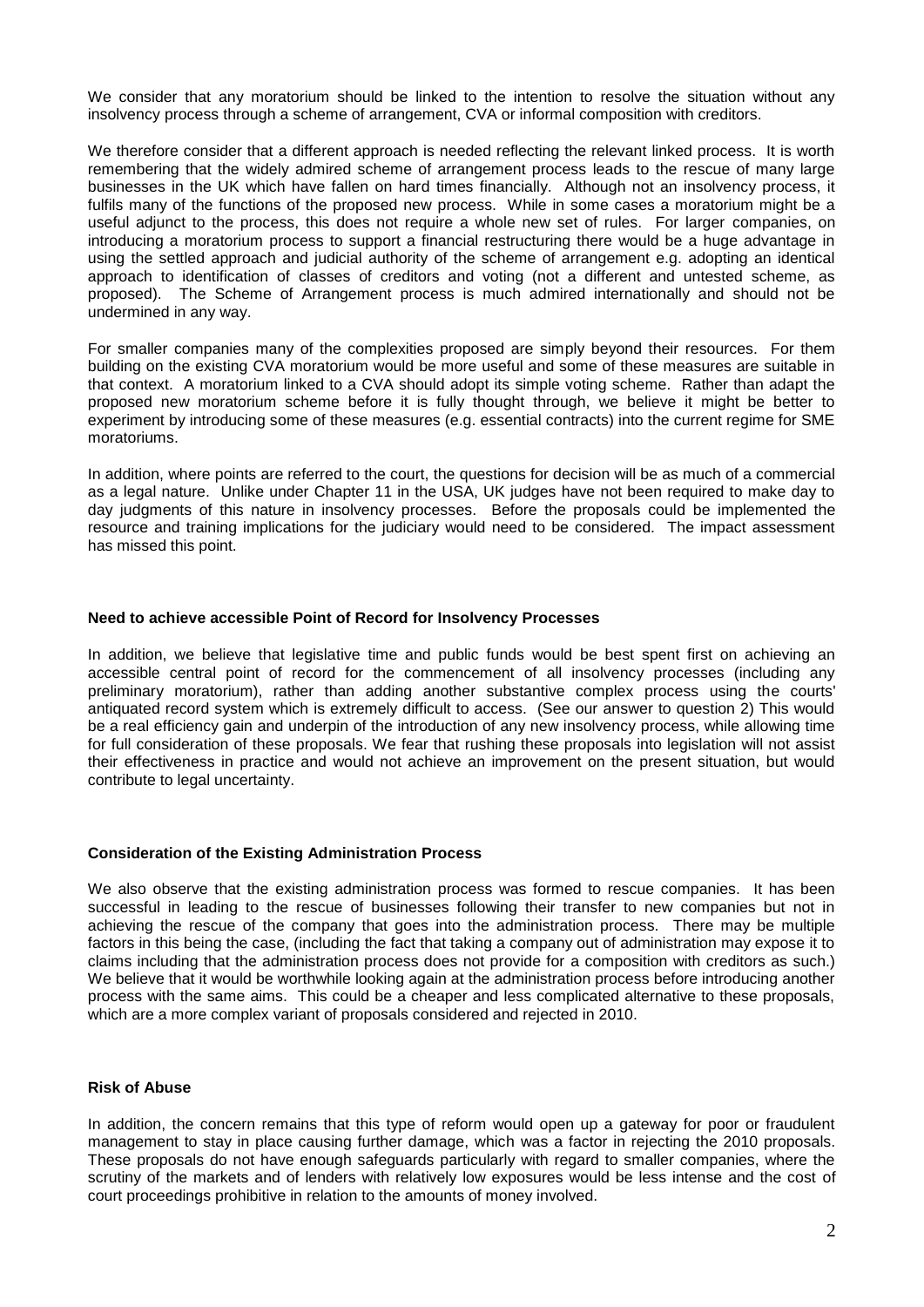We consider that any moratorium should be linked to the intention to resolve the situation without any insolvency process through a scheme of arrangement, CVA or informal composition with creditors.

We therefore consider that a different approach is needed reflecting the relevant linked process. It is worth remembering that the widely admired scheme of arrangement process leads to the rescue of many large businesses in the UK which have fallen on hard times financially. Although not an insolvency process, it fulfils many of the functions of the proposed new process. While in some cases a moratorium might be a useful adjunct to the process, this does not require a whole new set of rules. For larger companies, on introducing a moratorium process to support a financial restructuring there would be a huge advantage in using the settled approach and judicial authority of the scheme of arrangement e.g. adopting an identical approach to identification of classes of creditors and voting (not a different and untested scheme, as proposed). The Scheme of Arrangement process is much admired internationally and should not be undermined in any way.

For smaller companies many of the complexities proposed are simply beyond their resources. For them building on the existing CVA moratorium would be more useful and some of these measures are suitable in that context. A moratorium linked to a CVA should adopt its simple voting scheme. Rather than adapt the proposed new moratorium scheme before it is fully thought through, we believe it might be better to experiment by introducing some of these measures (e.g. essential contracts) into the current regime for SME moratoriums.

In addition, where points are referred to the court, the questions for decision will be as much of a commercial as a legal nature. Unlike under Chapter 11 in the USA, UK judges have not been required to make day to day judgments of this nature in insolvency processes. Before the proposals could be implemented the resource and training implications for the judiciary would need to be considered. The impact assessment has missed this point.

### **Need to achieve accessible Point of Record for Insolvency Processes**

In addition, we believe that legislative time and public funds would be best spent first on achieving an accessible central point of record for the commencement of all insolvency processes (including any preliminary moratorium), rather than adding another substantive complex process using the courts' antiquated record system which is extremely difficult to access. (See our answer to question 2) This would be a real efficiency gain and underpin of the introduction of any new insolvency process, while allowing time for full consideration of these proposals. We fear that rushing these proposals into legislation will not assist their effectiveness in practice and would not achieve an improvement on the present situation, but would contribute to legal uncertainty.

### **Consideration of the Existing Administration Process**

We also observe that the existing administration process was formed to rescue companies. It has been successful in leading to the rescue of businesses following their transfer to new companies but not in achieving the rescue of the company that goes into the administration process. There may be multiple factors in this being the case, (including the fact that taking a company out of administration may expose it to claims including that the administration process does not provide for a composition with creditors as such.) We believe that it would be worthwhile looking again at the administration process before introducing another process with the same aims. This could be a cheaper and less complicated alternative to these proposals, which are a more complex variant of proposals considered and rejected in 2010.

### **Risk of Abuse**

In addition, the concern remains that this type of reform would open up a gateway for poor or fraudulent management to stay in place causing further damage, which was a factor in rejecting the 2010 proposals. These proposals do not have enough safeguards particularly with regard to smaller companies, where the scrutiny of the markets and of lenders with relatively low exposures would be less intense and the cost of court proceedings prohibitive in relation to the amounts of money involved.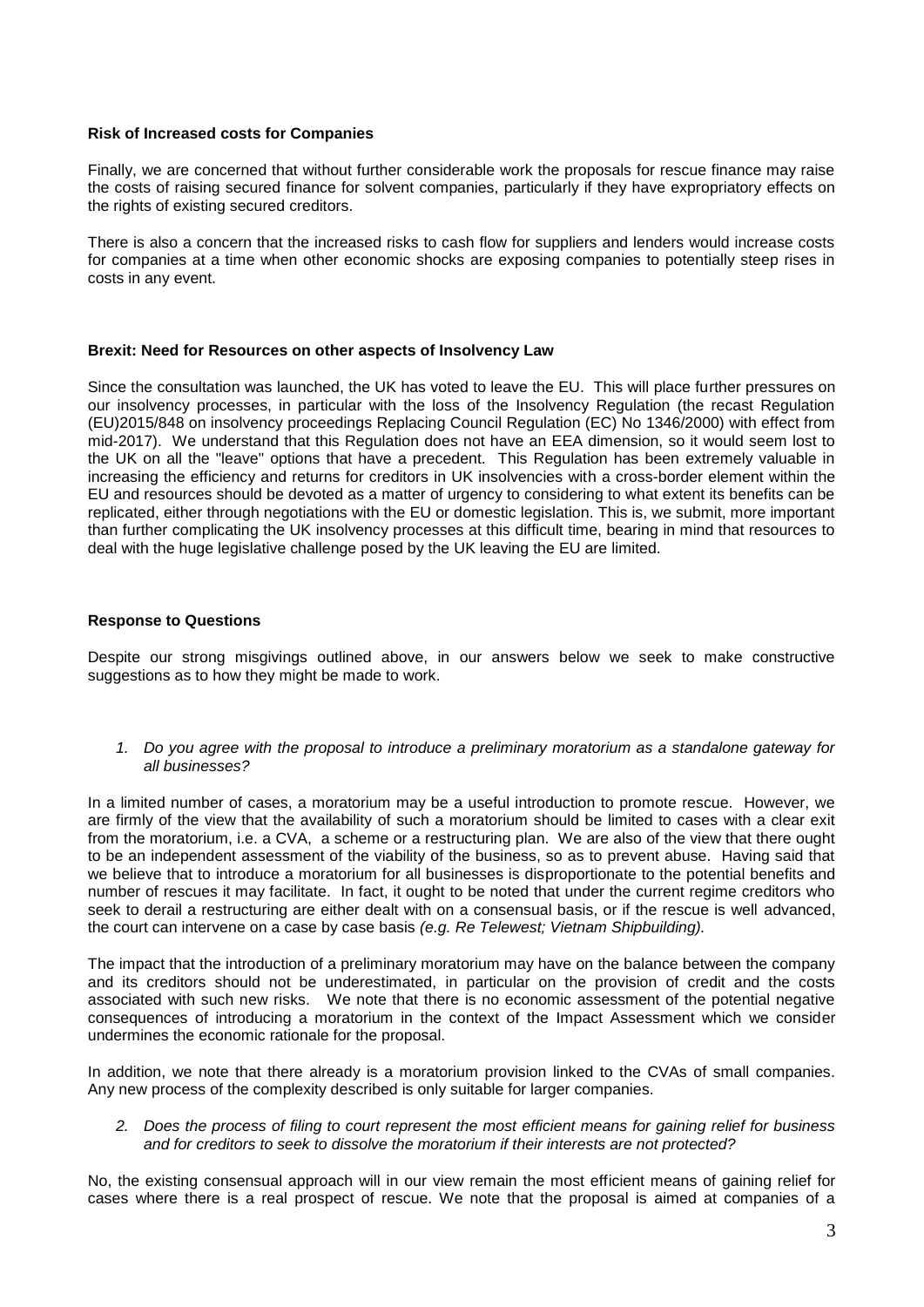### **Risk of Increased costs for Companies**

Finally, we are concerned that without further considerable work the proposals for rescue finance may raise the costs of raising secured finance for solvent companies, particularly if they have expropriatory effects on the rights of existing secured creditors.

There is also a concern that the increased risks to cash flow for suppliers and lenders would increase costs for companies at a time when other economic shocks are exposing companies to potentially steep rises in costs in any event.

### **Brexit: Need for Resources on other aspects of Insolvency Law**

Since the consultation was launched, the UK has voted to leave the EU. This will place further pressures on our insolvency processes, in particular with the loss of the Insolvency Regulation (the recast Regulation (EU)2015/848 on insolvency proceedings Replacing Council Regulation (EC) No 1346/2000) with effect from mid-2017). We understand that this Regulation does not have an EEA dimension, so it would seem lost to the UK on all the "leave" options that have a precedent. This Regulation has been extremely valuable in increasing the efficiency and returns for creditors in UK insolvencies with a cross-border element within the EU and resources should be devoted as a matter of urgency to considering to what extent its benefits can be replicated, either through negotiations with the EU or domestic legislation. This is, we submit, more important than further complicating the UK insolvency processes at this difficult time, bearing in mind that resources to deal with the huge legislative challenge posed by the UK leaving the EU are limited.

# **Response to Questions**

Despite our strong misgivings outlined above, in our answers below we seek to make constructive suggestions as to how they might be made to work.

*1. Do you agree with the proposal to introduce a preliminary moratorium as a standalone gateway for all businesses?* 

In a limited number of cases, a moratorium may be a useful introduction to promote rescue. However, we are firmly of the view that the availability of such a moratorium should be limited to cases with a clear exit from the moratorium, i.e. a CVA, a scheme or a restructuring plan. We are also of the view that there ought to be an independent assessment of the viability of the business, so as to prevent abuse. Having said that we believe that to introduce a moratorium for all businesses is disproportionate to the potential benefits and number of rescues it may facilitate. In fact, it ought to be noted that under the current regime creditors who seek to derail a restructuring are either dealt with on a consensual basis, or if the rescue is well advanced, the court can intervene on a case by case basis *(e.g. Re Telewest; Vietnam Shipbuilding).*

The impact that the introduction of a preliminary moratorium may have on the balance between the company and its creditors should not be underestimated, in particular on the provision of credit and the costs associated with such new risks. We note that there is no economic assessment of the potential negative consequences of introducing a moratorium in the context of the Impact Assessment which we consider undermines the economic rationale for the proposal.

In addition, we note that there already is a moratorium provision linked to the CVAs of small companies. Any new process of the complexity described is only suitable for larger companies.

### *2. Does the process of filing to court represent the most efficient means for gaining relief for business and for creditors to seek to dissolve the moratorium if their interests are not protected?*

No, the existing consensual approach will in our view remain the most efficient means of gaining relief for cases where there is a real prospect of rescue. We note that the proposal is aimed at companies of a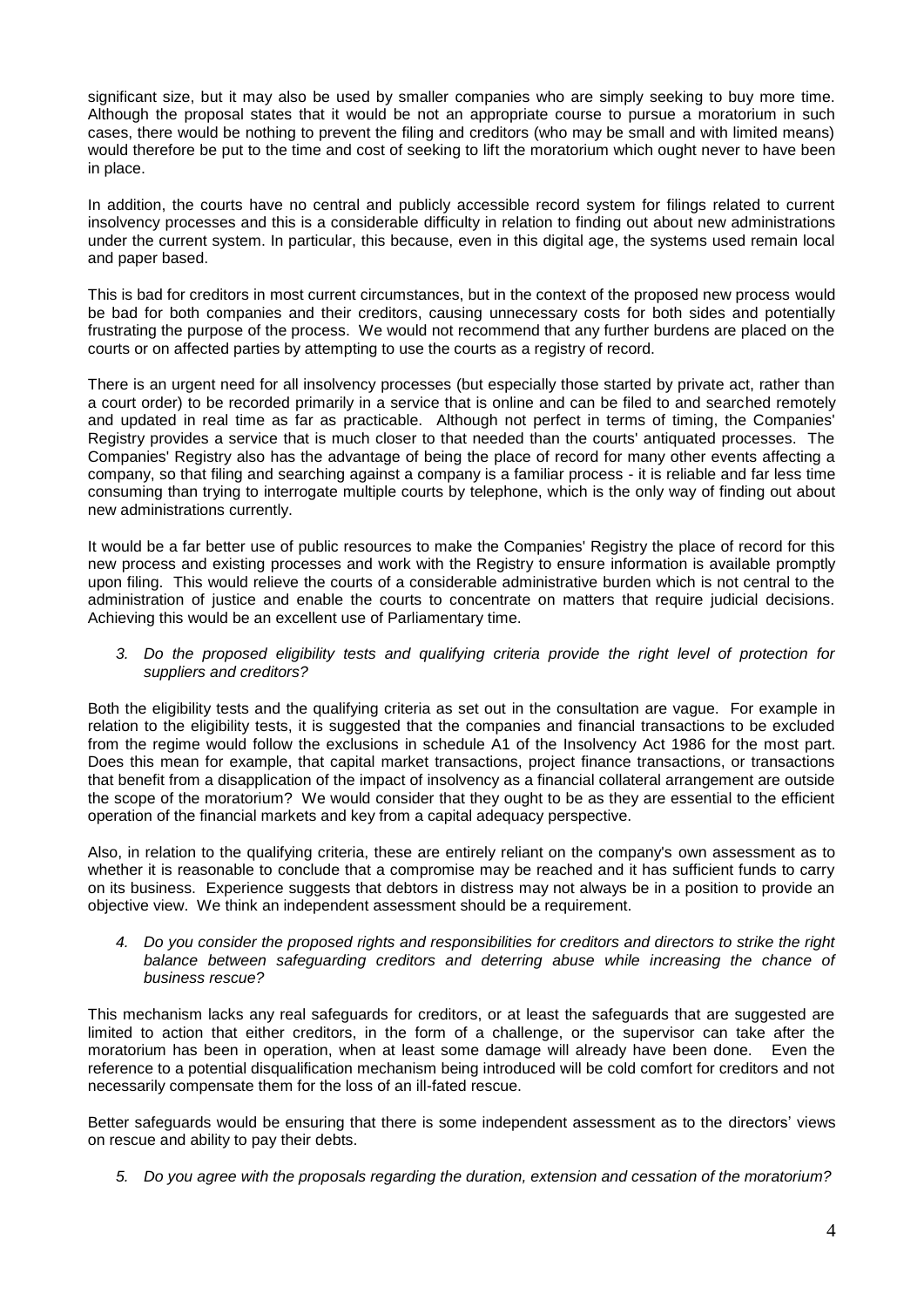significant size, but it may also be used by smaller companies who are simply seeking to buy more time. Although the proposal states that it would be not an appropriate course to pursue a moratorium in such cases, there would be nothing to prevent the filing and creditors (who may be small and with limited means) would therefore be put to the time and cost of seeking to lift the moratorium which ought never to have been in place.

In addition, the courts have no central and publicly accessible record system for filings related to current insolvency processes and this is a considerable difficulty in relation to finding out about new administrations under the current system. In particular, this because, even in this digital age, the systems used remain local and paper based.

This is bad for creditors in most current circumstances, but in the context of the proposed new process would be bad for both companies and their creditors, causing unnecessary costs for both sides and potentially frustrating the purpose of the process. We would not recommend that any further burdens are placed on the courts or on affected parties by attempting to use the courts as a registry of record.

There is an urgent need for all insolvency processes (but especially those started by private act, rather than a court order) to be recorded primarily in a service that is online and can be filed to and searched remotely and updated in real time as far as practicable. Although not perfect in terms of timing, the Companies' Registry provides a service that is much closer to that needed than the courts' antiquated processes. The Companies' Registry also has the advantage of being the place of record for many other events affecting a company, so that filing and searching against a company is a familiar process - it is reliable and far less time consuming than trying to interrogate multiple courts by telephone, which is the only way of finding out about new administrations currently.

It would be a far better use of public resources to make the Companies' Registry the place of record for this new process and existing processes and work with the Registry to ensure information is available promptly upon filing. This would relieve the courts of a considerable administrative burden which is not central to the administration of justice and enable the courts to concentrate on matters that require judicial decisions. Achieving this would be an excellent use of Parliamentary time.

### *3. Do the proposed eligibility tests and qualifying criteria provide the right level of protection for suppliers and creditors?*

Both the eligibility tests and the qualifying criteria as set out in the consultation are vague. For example in relation to the eligibility tests, it is suggested that the companies and financial transactions to be excluded from the regime would follow the exclusions in schedule A1 of the Insolvency Act 1986 for the most part. Does this mean for example, that capital market transactions, project finance transactions, or transactions that benefit from a disapplication of the impact of insolvency as a financial collateral arrangement are outside the scope of the moratorium? We would consider that they ought to be as they are essential to the efficient operation of the financial markets and key from a capital adequacy perspective.

Also, in relation to the qualifying criteria, these are entirely reliant on the company's own assessment as to whether it is reasonable to conclude that a compromise may be reached and it has sufficient funds to carry on its business. Experience suggests that debtors in distress may not always be in a position to provide an objective view. We think an independent assessment should be a requirement.

*4. Do you consider the proposed rights and responsibilities for creditors and directors to strike the right*  balance between safeguarding creditors and deterring abuse while increasing the chance of *business rescue?* 

This mechanism lacks any real safeguards for creditors, or at least the safeguards that are suggested are limited to action that either creditors, in the form of a challenge, or the supervisor can take after the moratorium has been in operation, when at least some damage will already have been done. Even the reference to a potential disqualification mechanism being introduced will be cold comfort for creditors and not necessarily compensate them for the loss of an ill-fated rescue.

Better safeguards would be ensuring that there is some independent assessment as to the directors' views on rescue and ability to pay their debts.

*5. Do you agree with the proposals regarding the duration, extension and cessation of the moratorium?*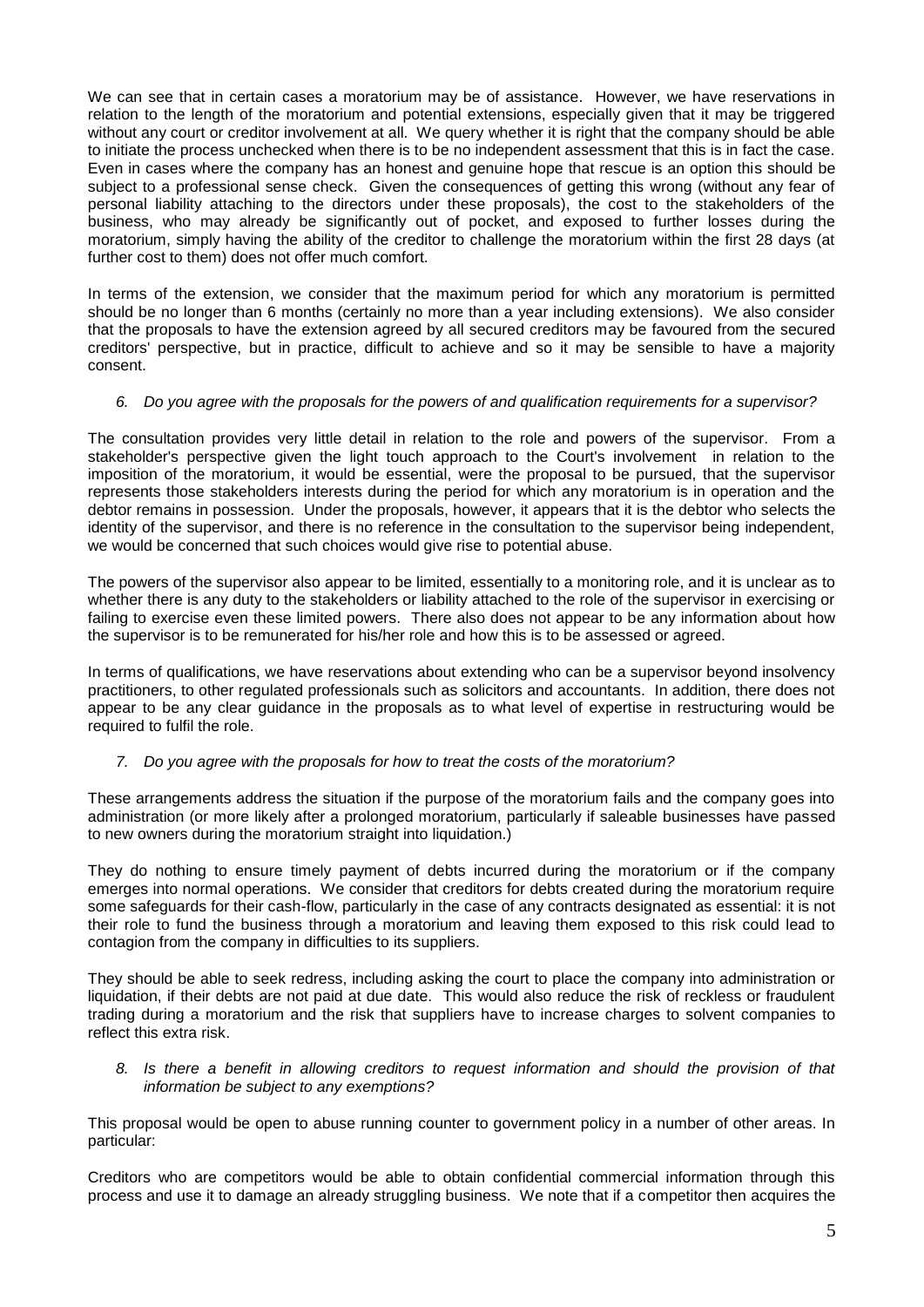We can see that in certain cases a moratorium may be of assistance. However, we have reservations in relation to the length of the moratorium and potential extensions, especially given that it may be triggered without any court or creditor involvement at all. We query whether it is right that the company should be able to initiate the process unchecked when there is to be no independent assessment that this is in fact the case. Even in cases where the company has an honest and genuine hope that rescue is an option this should be subject to a professional sense check. Given the consequences of getting this wrong (without any fear of personal liability attaching to the directors under these proposals), the cost to the stakeholders of the business, who may already be significantly out of pocket, and exposed to further losses during the moratorium, simply having the ability of the creditor to challenge the moratorium within the first 28 days (at further cost to them) does not offer much comfort.

In terms of the extension, we consider that the maximum period for which any moratorium is permitted should be no longer than 6 months (certainly no more than a year including extensions). We also consider that the proposals to have the extension agreed by all secured creditors may be favoured from the secured creditors' perspective, but in practice, difficult to achieve and so it may be sensible to have a majority consent.

### *6. Do you agree with the proposals for the powers of and qualification requirements for a supervisor?*

The consultation provides very little detail in relation to the role and powers of the supervisor. From a stakeholder's perspective given the light touch approach to the Court's involvement in relation to the imposition of the moratorium, it would be essential, were the proposal to be pursued, that the supervisor represents those stakeholders interests during the period for which any moratorium is in operation and the debtor remains in possession. Under the proposals, however, it appears that it is the debtor who selects the identity of the supervisor, and there is no reference in the consultation to the supervisor being independent, we would be concerned that such choices would give rise to potential abuse.

The powers of the supervisor also appear to be limited, essentially to a monitoring role, and it is unclear as to whether there is any duty to the stakeholders or liability attached to the role of the supervisor in exercising or failing to exercise even these limited powers. There also does not appear to be any information about how the supervisor is to be remunerated for his/her role and how this is to be assessed or agreed.

In terms of qualifications, we have reservations about extending who can be a supervisor beyond insolvency practitioners, to other regulated professionals such as solicitors and accountants. In addition, there does not appear to be any clear guidance in the proposals as to what level of expertise in restructuring would be required to fulfil the role.

# *7. Do you agree with the proposals for how to treat the costs of the moratorium?*

These arrangements address the situation if the purpose of the moratorium fails and the company goes into administration (or more likely after a prolonged moratorium, particularly if saleable businesses have passed to new owners during the moratorium straight into liquidation.)

They do nothing to ensure timely payment of debts incurred during the moratorium or if the company emerges into normal operations. We consider that creditors for debts created during the moratorium require some safeguards for their cash-flow, particularly in the case of any contracts designated as essential: it is not their role to fund the business through a moratorium and leaving them exposed to this risk could lead to contagion from the company in difficulties to its suppliers.

They should be able to seek redress, including asking the court to place the company into administration or liquidation, if their debts are not paid at due date. This would also reduce the risk of reckless or fraudulent trading during a moratorium and the risk that suppliers have to increase charges to solvent companies to reflect this extra risk.

*8. Is there a benefit in allowing creditors to request information and should the provision of that information be subject to any exemptions?*

This proposal would be open to abuse running counter to government policy in a number of other areas. In particular:

Creditors who are competitors would be able to obtain confidential commercial information through this process and use it to damage an already struggling business. We note that if a competitor then acquires the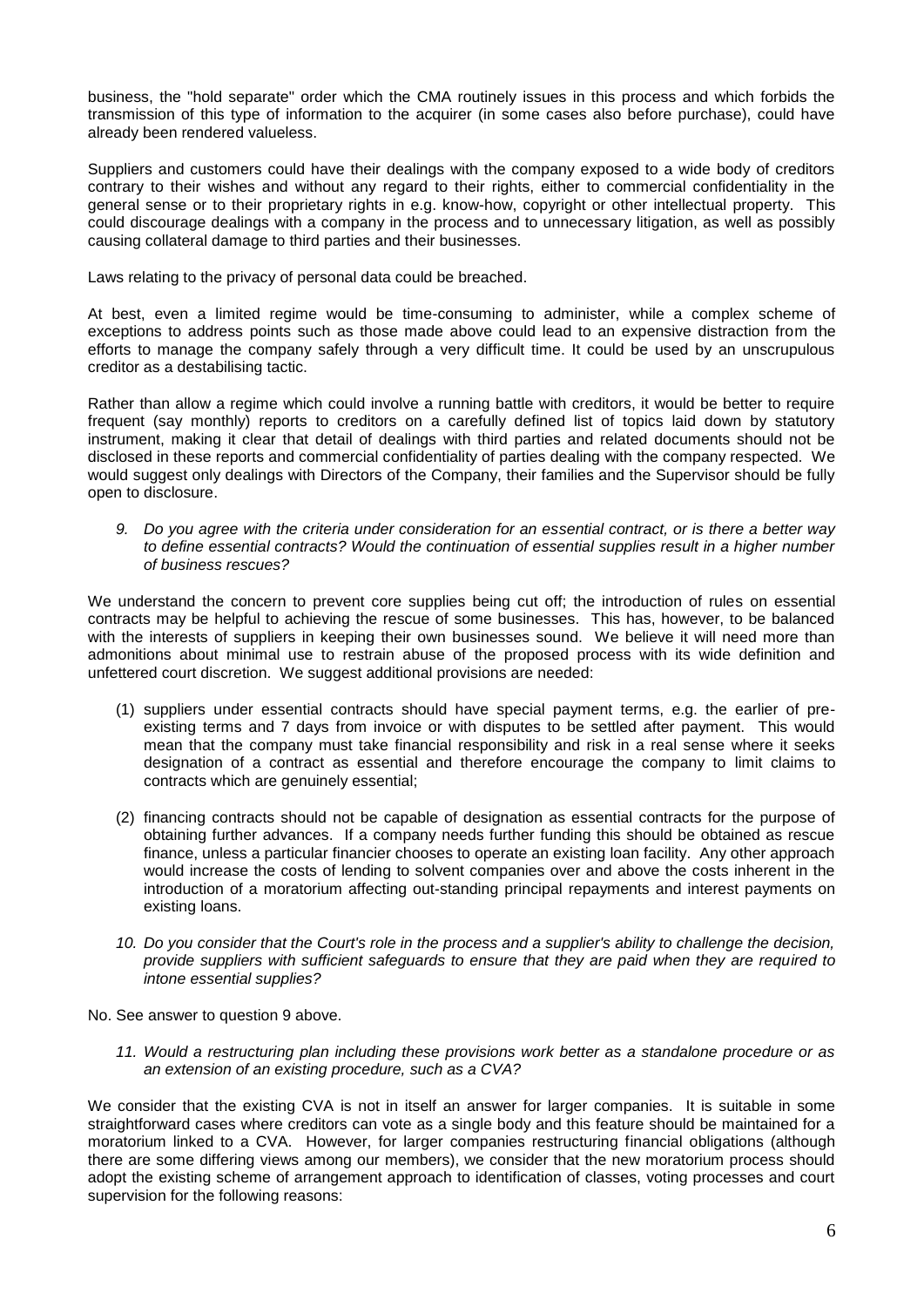business, the "hold separate" order which the CMA routinely issues in this process and which forbids the transmission of this type of information to the acquirer (in some cases also before purchase), could have already been rendered valueless.

Suppliers and customers could have their dealings with the company exposed to a wide body of creditors contrary to their wishes and without any regard to their rights, either to commercial confidentiality in the general sense or to their proprietary rights in e.g. know-how, copyright or other intellectual property. This could discourage dealings with a company in the process and to unnecessary litigation, as well as possibly causing collateral damage to third parties and their businesses.

Laws relating to the privacy of personal data could be breached.

At best, even a limited regime would be time-consuming to administer, while a complex scheme of exceptions to address points such as those made above could lead to an expensive distraction from the efforts to manage the company safely through a very difficult time. It could be used by an unscrupulous creditor as a destabilising tactic.

Rather than allow a regime which could involve a running battle with creditors, it would be better to require frequent (say monthly) reports to creditors on a carefully defined list of topics laid down by statutory instrument, making it clear that detail of dealings with third parties and related documents should not be disclosed in these reports and commercial confidentiality of parties dealing with the company respected. We would suggest only dealings with Directors of the Company, their families and the Supervisor should be fully open to disclosure.

*9. Do you agree with the criteria under consideration for an essential contract, or is there a better way to define essential contracts? Would the continuation of essential supplies result in a higher number of business rescues?*

We understand the concern to prevent core supplies being cut off; the introduction of rules on essential contracts may be helpful to achieving the rescue of some businesses. This has, however, to be balanced with the interests of suppliers in keeping their own businesses sound. We believe it will need more than admonitions about minimal use to restrain abuse of the proposed process with its wide definition and unfettered court discretion. We suggest additional provisions are needed:

- (1) suppliers under essential contracts should have special payment terms, e.g. the earlier of preexisting terms and 7 days from invoice or with disputes to be settled after payment. This would mean that the company must take financial responsibility and risk in a real sense where it seeks designation of a contract as essential and therefore encourage the company to limit claims to contracts which are genuinely essential;
- (2) financing contracts should not be capable of designation as essential contracts for the purpose of obtaining further advances. If a company needs further funding this should be obtained as rescue finance, unless a particular financier chooses to operate an existing loan facility. Any other approach would increase the costs of lending to solvent companies over and above the costs inherent in the introduction of a moratorium affecting out-standing principal repayments and interest payments on existing loans.
- *10. Do you consider that the Court's role in the process and a supplier's ability to challenge the decision, provide suppliers with sufficient safeguards to ensure that they are paid when they are required to intone essential supplies?*

No. See answer to question 9 above.

*11. Would a restructuring plan including these provisions work better as a standalone procedure or as an extension of an existing procedure, such as a CVA?*

We consider that the existing CVA is not in itself an answer for larger companies. It is suitable in some straightforward cases where creditors can vote as a single body and this feature should be maintained for a moratorium linked to a CVA. However, for larger companies restructuring financial obligations (although there are some differing views among our members), we consider that the new moratorium process should adopt the existing scheme of arrangement approach to identification of classes, voting processes and court supervision for the following reasons: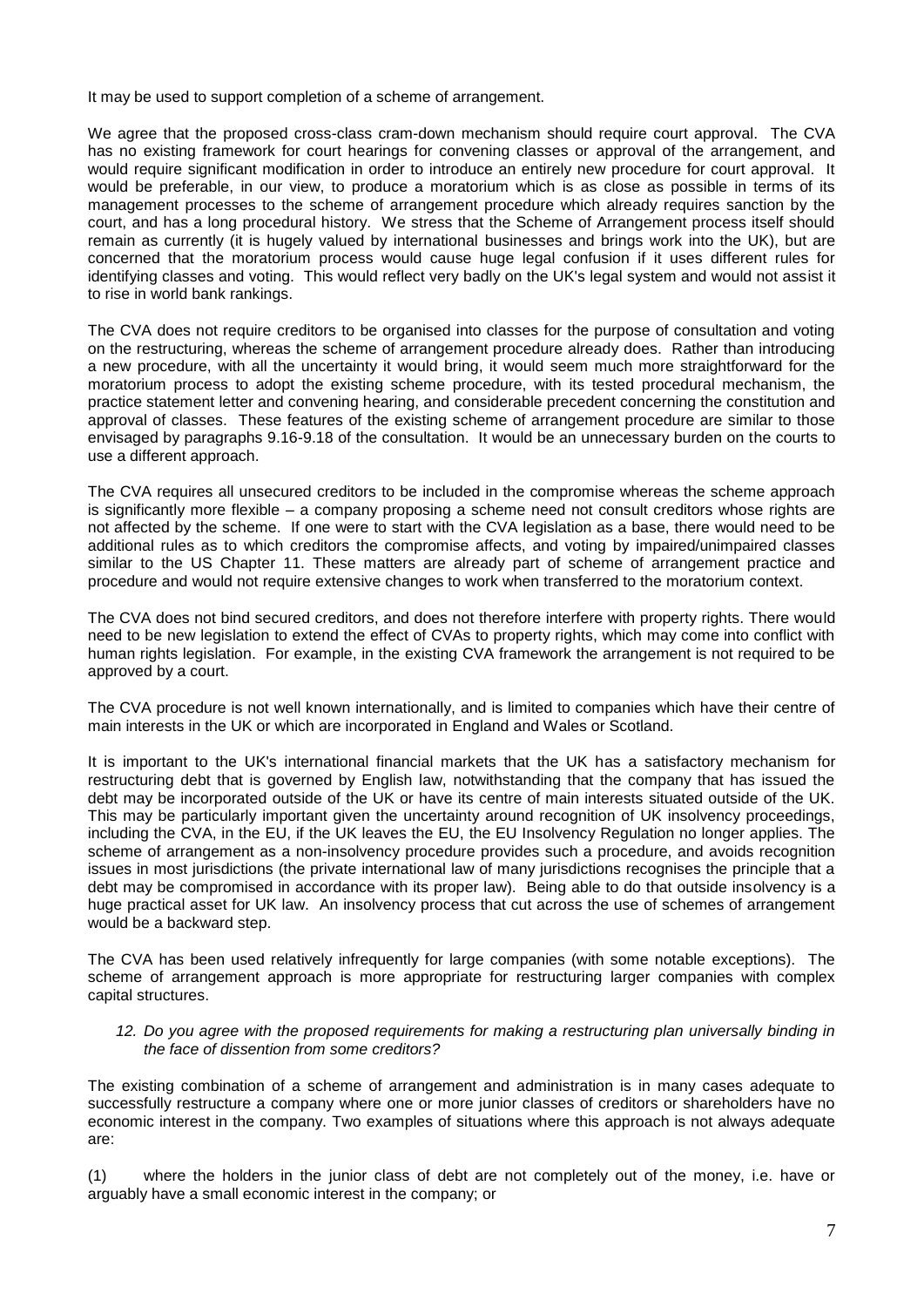It may be used to support completion of a scheme of arrangement.

We agree that the proposed cross-class cram-down mechanism should require court approval. The CVA has no existing framework for court hearings for convening classes or approval of the arrangement, and would require significant modification in order to introduce an entirely new procedure for court approval. It would be preferable, in our view, to produce a moratorium which is as close as possible in terms of its management processes to the scheme of arrangement procedure which already requires sanction by the court, and has a long procedural history. We stress that the Scheme of Arrangement process itself should remain as currently (it is hugely valued by international businesses and brings work into the UK), but are concerned that the moratorium process would cause huge legal confusion if it uses different rules for identifying classes and voting. This would reflect very badly on the UK's legal system and would not assist it to rise in world bank rankings.

The CVA does not require creditors to be organised into classes for the purpose of consultation and voting on the restructuring, whereas the scheme of arrangement procedure already does. Rather than introducing a new procedure, with all the uncertainty it would bring, it would seem much more straightforward for the moratorium process to adopt the existing scheme procedure, with its tested procedural mechanism, the practice statement letter and convening hearing, and considerable precedent concerning the constitution and approval of classes. These features of the existing scheme of arrangement procedure are similar to those envisaged by paragraphs 9.16-9.18 of the consultation. It would be an unnecessary burden on the courts to use a different approach.

The CVA requires all unsecured creditors to be included in the compromise whereas the scheme approach is significantly more flexible – a company proposing a scheme need not consult creditors whose rights are not affected by the scheme. If one were to start with the CVA legislation as a base, there would need to be additional rules as to which creditors the compromise affects, and voting by impaired/unimpaired classes similar to the US Chapter 11. These matters are already part of scheme of arrangement practice and procedure and would not require extensive changes to work when transferred to the moratorium context.

The CVA does not bind secured creditors, and does not therefore interfere with property rights. There would need to be new legislation to extend the effect of CVAs to property rights, which may come into conflict with human rights legislation. For example, in the existing CVA framework the arrangement is not required to be approved by a court.

The CVA procedure is not well known internationally, and is limited to companies which have their centre of main interests in the UK or which are incorporated in England and Wales or Scotland.

It is important to the UK's international financial markets that the UK has a satisfactory mechanism for restructuring debt that is governed by English law, notwithstanding that the company that has issued the debt may be incorporated outside of the UK or have its centre of main interests situated outside of the UK. This may be particularly important given the uncertainty around recognition of UK insolvency proceedings, including the CVA, in the EU, if the UK leaves the EU, the EU Insolvency Regulation no longer applies. The scheme of arrangement as a non-insolvency procedure provides such a procedure, and avoids recognition issues in most jurisdictions (the private international law of many jurisdictions recognises the principle that a debt may be compromised in accordance with its proper law). Being able to do that outside insolvency is a huge practical asset for UK law. An insolvency process that cut across the use of schemes of arrangement would be a backward step.

The CVA has been used relatively infrequently for large companies (with some notable exceptions). The scheme of arrangement approach is more appropriate for restructuring larger companies with complex capital structures.

#### *12. Do you agree with the proposed requirements for making a restructuring plan universally binding in the face of dissention from some creditors?*

The existing combination of a scheme of arrangement and administration is in many cases adequate to successfully restructure a company where one or more junior classes of creditors or shareholders have no economic interest in the company. Two examples of situations where this approach is not always adequate are:

(1) where the holders in the junior class of debt are not completely out of the money, i.e. have or arguably have a small economic interest in the company; or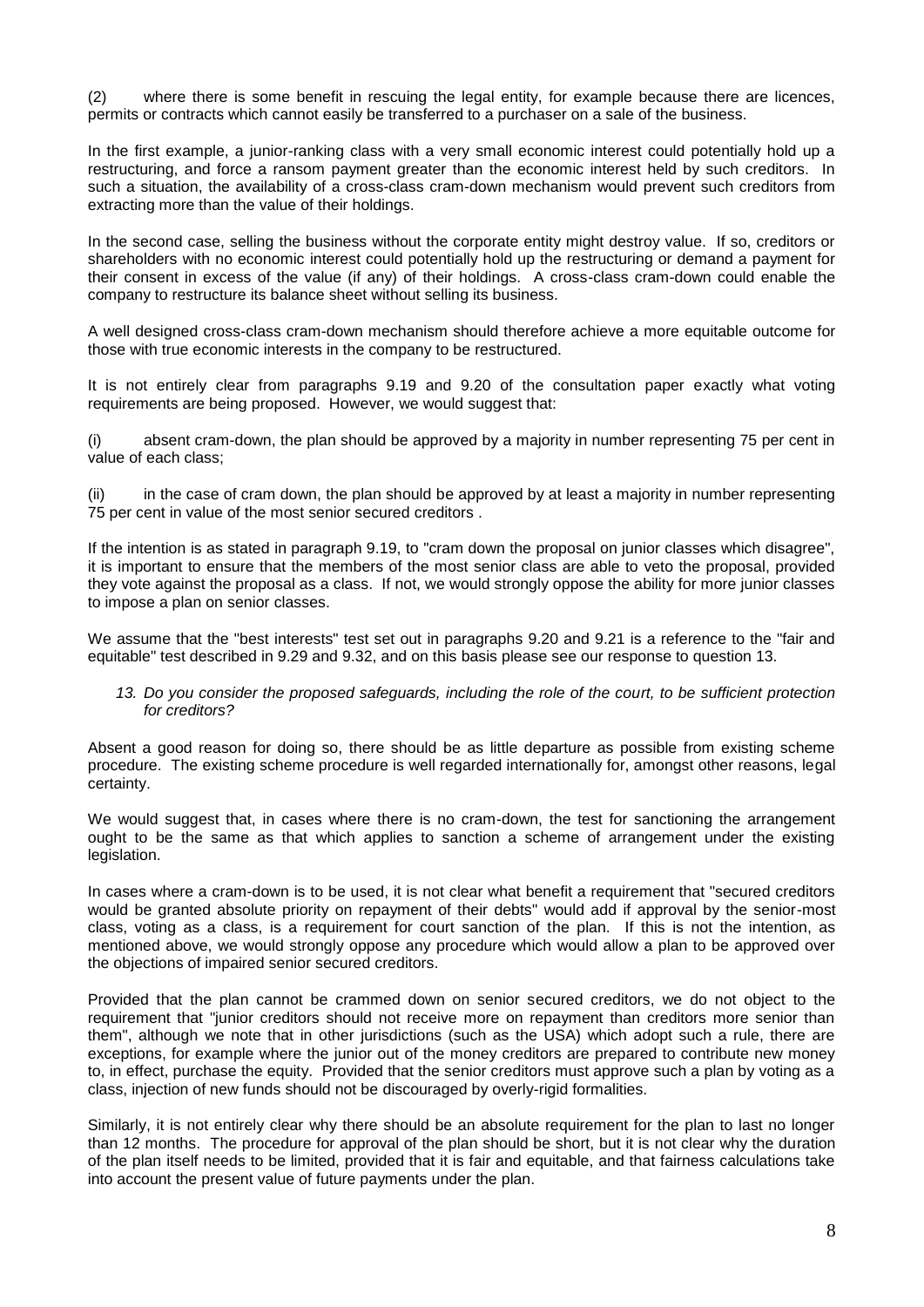(2) where there is some benefit in rescuing the legal entity, for example because there are licences, permits or contracts which cannot easily be transferred to a purchaser on a sale of the business.

In the first example, a junior-ranking class with a very small economic interest could potentially hold up a restructuring, and force a ransom payment greater than the economic interest held by such creditors. In such a situation, the availability of a cross-class cram-down mechanism would prevent such creditors from extracting more than the value of their holdings.

In the second case, selling the business without the corporate entity might destroy value. If so, creditors or shareholders with no economic interest could potentially hold up the restructuring or demand a payment for their consent in excess of the value (if any) of their holdings. A cross-class cram-down could enable the company to restructure its balance sheet without selling its business.

A well designed cross-class cram-down mechanism should therefore achieve a more equitable outcome for those with true economic interests in the company to be restructured.

It is not entirely clear from paragraphs 9.19 and 9.20 of the consultation paper exactly what voting requirements are being proposed. However, we would suggest that:

(i) absent cram-down, the plan should be approved by a majority in number representing 75 per cent in value of each class;

(ii) in the case of cram down, the plan should be approved by at least a majority in number representing 75 per cent in value of the most senior secured creditors .

If the intention is as stated in paragraph 9.19, to "cram down the proposal on junior classes which disagree", it is important to ensure that the members of the most senior class are able to veto the proposal, provided they vote against the proposal as a class. If not, we would strongly oppose the ability for more junior classes to impose a plan on senior classes.

We assume that the "best interests" test set out in paragraphs 9.20 and 9.21 is a reference to the "fair and equitable" test described in 9.29 and 9.32, and on this basis please see our response to question 13.

### *13. Do you consider the proposed safeguards, including the role of the court, to be sufficient protection for creditors?*

Absent a good reason for doing so, there should be as little departure as possible from existing scheme procedure. The existing scheme procedure is well regarded internationally for, amongst other reasons, legal certainty.

We would suggest that, in cases where there is no cram-down, the test for sanctioning the arrangement ought to be the same as that which applies to sanction a scheme of arrangement under the existing legislation.

In cases where a cram-down is to be used, it is not clear what benefit a requirement that "secured creditors would be granted absolute priority on repayment of their debts" would add if approval by the senior-most class, voting as a class, is a requirement for court sanction of the plan. If this is not the intention, as mentioned above, we would strongly oppose any procedure which would allow a plan to be approved over the objections of impaired senior secured creditors.

Provided that the plan cannot be crammed down on senior secured creditors, we do not object to the requirement that "junior creditors should not receive more on repayment than creditors more senior than them", although we note that in other jurisdictions (such as the USA) which adopt such a rule, there are exceptions, for example where the junior out of the money creditors are prepared to contribute new money to, in effect, purchase the equity. Provided that the senior creditors must approve such a plan by voting as a class, injection of new funds should not be discouraged by overly-rigid formalities.

Similarly, it is not entirely clear why there should be an absolute requirement for the plan to last no longer than 12 months. The procedure for approval of the plan should be short, but it is not clear why the duration of the plan itself needs to be limited, provided that it is fair and equitable, and that fairness calculations take into account the present value of future payments under the plan.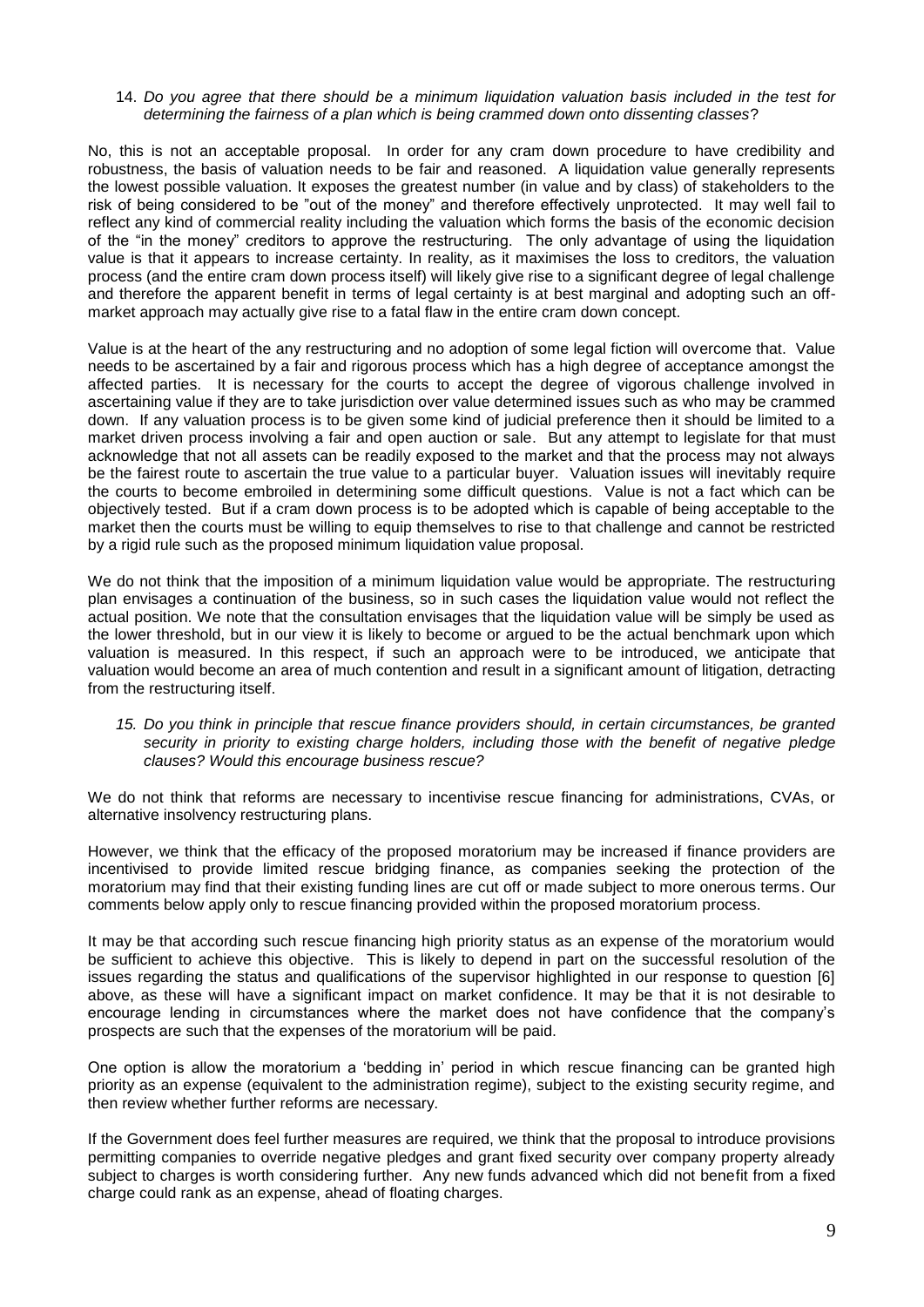#### 14. *Do you agree that there should be a minimum liquidation valuation basis included in the test for determining the fairness of a plan which is being crammed down onto dissenting classes*?

No, this is not an acceptable proposal. In order for any cram down procedure to have credibility and robustness, the basis of valuation needs to be fair and reasoned. A liquidation value generally represents the lowest possible valuation. It exposes the greatest number (in value and by class) of stakeholders to the risk of being considered to be "out of the money" and therefore effectively unprotected. It may well fail to reflect any kind of commercial reality including the valuation which forms the basis of the economic decision of the "in the money" creditors to approve the restructuring. The only advantage of using the liquidation value is that it appears to increase certainty. In reality, as it maximises the loss to creditors, the valuation process (and the entire cram down process itself) will likely give rise to a significant degree of legal challenge and therefore the apparent benefit in terms of legal certainty is at best marginal and adopting such an offmarket approach may actually give rise to a fatal flaw in the entire cram down concept.

Value is at the heart of the any restructuring and no adoption of some legal fiction will overcome that. Value needs to be ascertained by a fair and rigorous process which has a high degree of acceptance amongst the affected parties. It is necessary for the courts to accept the degree of vigorous challenge involved in ascertaining value if they are to take jurisdiction over value determined issues such as who may be crammed down. If any valuation process is to be given some kind of judicial preference then it should be limited to a market driven process involving a fair and open auction or sale. But any attempt to legislate for that must acknowledge that not all assets can be readily exposed to the market and that the process may not always be the fairest route to ascertain the true value to a particular buyer. Valuation issues will inevitably require the courts to become embroiled in determining some difficult questions. Value is not a fact which can be objectively tested. But if a cram down process is to be adopted which is capable of being acceptable to the market then the courts must be willing to equip themselves to rise to that challenge and cannot be restricted by a rigid rule such as the proposed minimum liquidation value proposal.

We do not think that the imposition of a minimum liquidation value would be appropriate. The restructuring plan envisages a continuation of the business, so in such cases the liquidation value would not reflect the actual position. We note that the consultation envisages that the liquidation value will be simply be used as the lower threshold, but in our view it is likely to become or argued to be the actual benchmark upon which valuation is measured. In this respect, if such an approach were to be introduced, we anticipate that valuation would become an area of much contention and result in a significant amount of litigation, detracting from the restructuring itself.

### *15. Do you think in principle that rescue finance providers should, in certain circumstances, be granted security in priority to existing charge holders, including those with the benefit of negative pledge clauses? Would this encourage business rescue?*

We do not think that reforms are necessary to incentivise rescue financing for administrations, CVAs, or alternative insolvency restructuring plans.

However, we think that the efficacy of the proposed moratorium may be increased if finance providers are incentivised to provide limited rescue bridging finance, as companies seeking the protection of the moratorium may find that their existing funding lines are cut off or made subject to more onerous terms. Our comments below apply only to rescue financing provided within the proposed moratorium process.

It may be that according such rescue financing high priority status as an expense of the moratorium would be sufficient to achieve this objective. This is likely to depend in part on the successful resolution of the issues regarding the status and qualifications of the supervisor highlighted in our response to question [6] above, as these will have a significant impact on market confidence. It may be that it is not desirable to encourage lending in circumstances where the market does not have confidence that the company's prospects are such that the expenses of the moratorium will be paid.

One option is allow the moratorium a 'bedding in' period in which rescue financing can be granted high priority as an expense (equivalent to the administration regime), subject to the existing security regime, and then review whether further reforms are necessary.

If the Government does feel further measures are required, we think that the proposal to introduce provisions permitting companies to override negative pledges and grant fixed security over company property already subject to charges is worth considering further. Any new funds advanced which did not benefit from a fixed charge could rank as an expense, ahead of floating charges.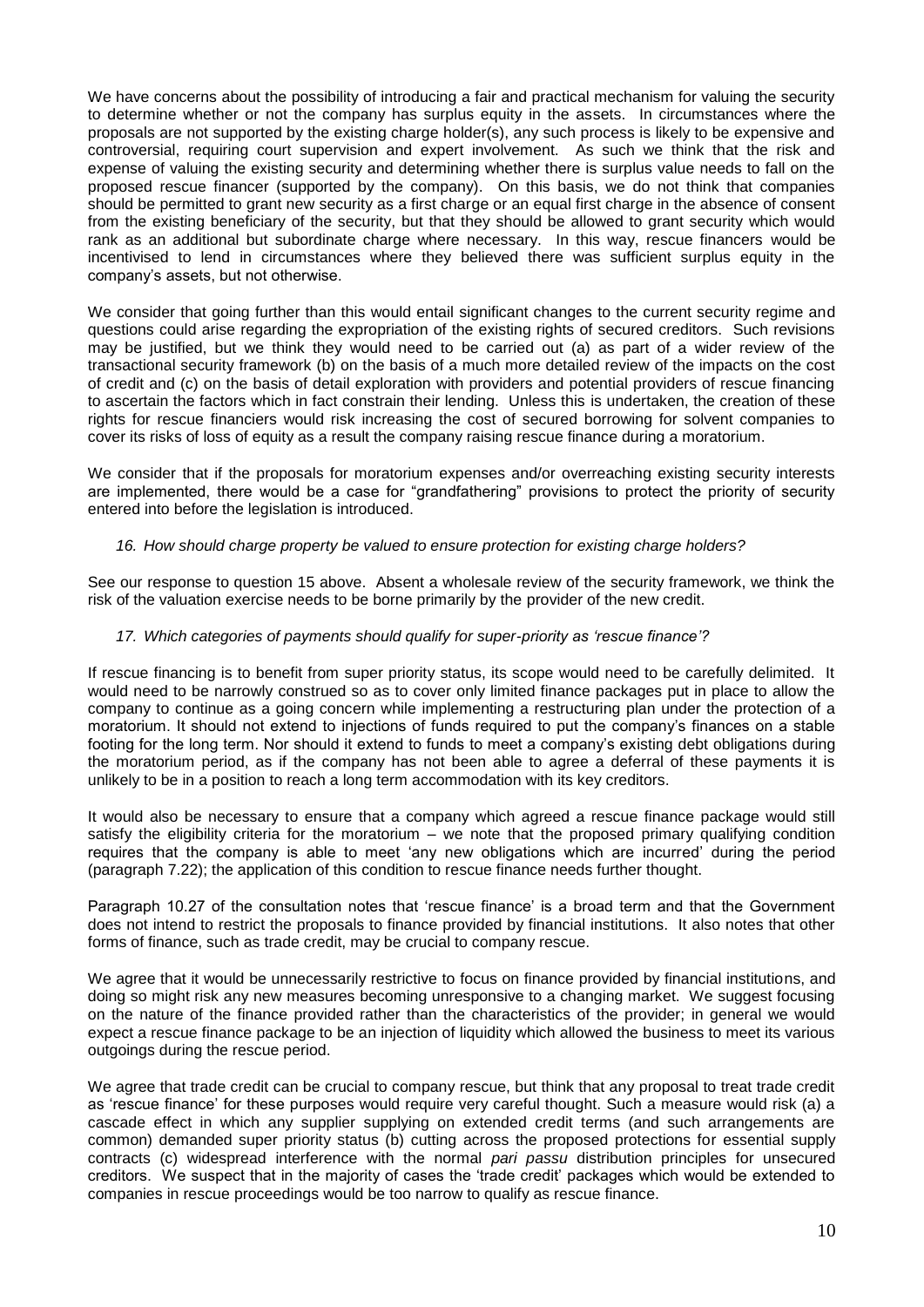We have concerns about the possibility of introducing a fair and practical mechanism for valuing the security to determine whether or not the company has surplus equity in the assets. In circumstances where the proposals are not supported by the existing charge holder(s), any such process is likely to be expensive and controversial, requiring court supervision and expert involvement. As such we think that the risk and expense of valuing the existing security and determining whether there is surplus value needs to fall on the proposed rescue financer (supported by the company). On this basis, we do not think that companies should be permitted to grant new security as a first charge or an equal first charge in the absence of consent from the existing beneficiary of the security, but that they should be allowed to grant security which would rank as an additional but subordinate charge where necessary. In this way, rescue financers would be incentivised to lend in circumstances where they believed there was sufficient surplus equity in the company's assets, but not otherwise.

We consider that going further than this would entail significant changes to the current security regime and questions could arise regarding the expropriation of the existing rights of secured creditors. Such revisions may be justified, but we think they would need to be carried out (a) as part of a wider review of the transactional security framework (b) on the basis of a much more detailed review of the impacts on the cost of credit and (c) on the basis of detail exploration with providers and potential providers of rescue financing to ascertain the factors which in fact constrain their lending. Unless this is undertaken, the creation of these rights for rescue financiers would risk increasing the cost of secured borrowing for solvent companies to cover its risks of loss of equity as a result the company raising rescue finance during a moratorium.

We consider that if the proposals for moratorium expenses and/or overreaching existing security interests are implemented, there would be a case for "grandfathering" provisions to protect the priority of security entered into before the legislation is introduced.

# *16. How should charge property be valued to ensure protection for existing charge holders?*

See our response to question 15 above. Absent a wholesale review of the security framework, we think the risk of the valuation exercise needs to be borne primarily by the provider of the new credit.

### *17. Which categories of payments should qualify for super-priority as 'rescue finance'?*

If rescue financing is to benefit from super priority status, its scope would need to be carefully delimited. It would need to be narrowly construed so as to cover only limited finance packages put in place to allow the company to continue as a going concern while implementing a restructuring plan under the protection of a moratorium. It should not extend to injections of funds required to put the company's finances on a stable footing for the long term. Nor should it extend to funds to meet a company's existing debt obligations during the moratorium period, as if the company has not been able to agree a deferral of these payments it is unlikely to be in a position to reach a long term accommodation with its key creditors.

It would also be necessary to ensure that a company which agreed a rescue finance package would still satisfy the eligibility criteria for the moratorium – we note that the proposed primary qualifying condition requires that the company is able to meet 'any new obligations which are incurred' during the period (paragraph 7.22); the application of this condition to rescue finance needs further thought.

Paragraph 10.27 of the consultation notes that 'rescue finance' is a broad term and that the Government does not intend to restrict the proposals to finance provided by financial institutions. It also notes that other forms of finance, such as trade credit, may be crucial to company rescue.

We agree that it would be unnecessarily restrictive to focus on finance provided by financial institutions, and doing so might risk any new measures becoming unresponsive to a changing market. We suggest focusing on the nature of the finance provided rather than the characteristics of the provider; in general we would expect a rescue finance package to be an injection of liquidity which allowed the business to meet its various outgoings during the rescue period.

We agree that trade credit can be crucial to company rescue, but think that any proposal to treat trade credit as 'rescue finance' for these purposes would require very careful thought. Such a measure would risk (a) a cascade effect in which any supplier supplying on extended credit terms (and such arrangements are common) demanded super priority status (b) cutting across the proposed protections for essential supply contracts (c) widespread interference with the normal *pari passu* distribution principles for unsecured creditors. We suspect that in the majority of cases the 'trade credit' packages which would be extended to companies in rescue proceedings would be too narrow to qualify as rescue finance.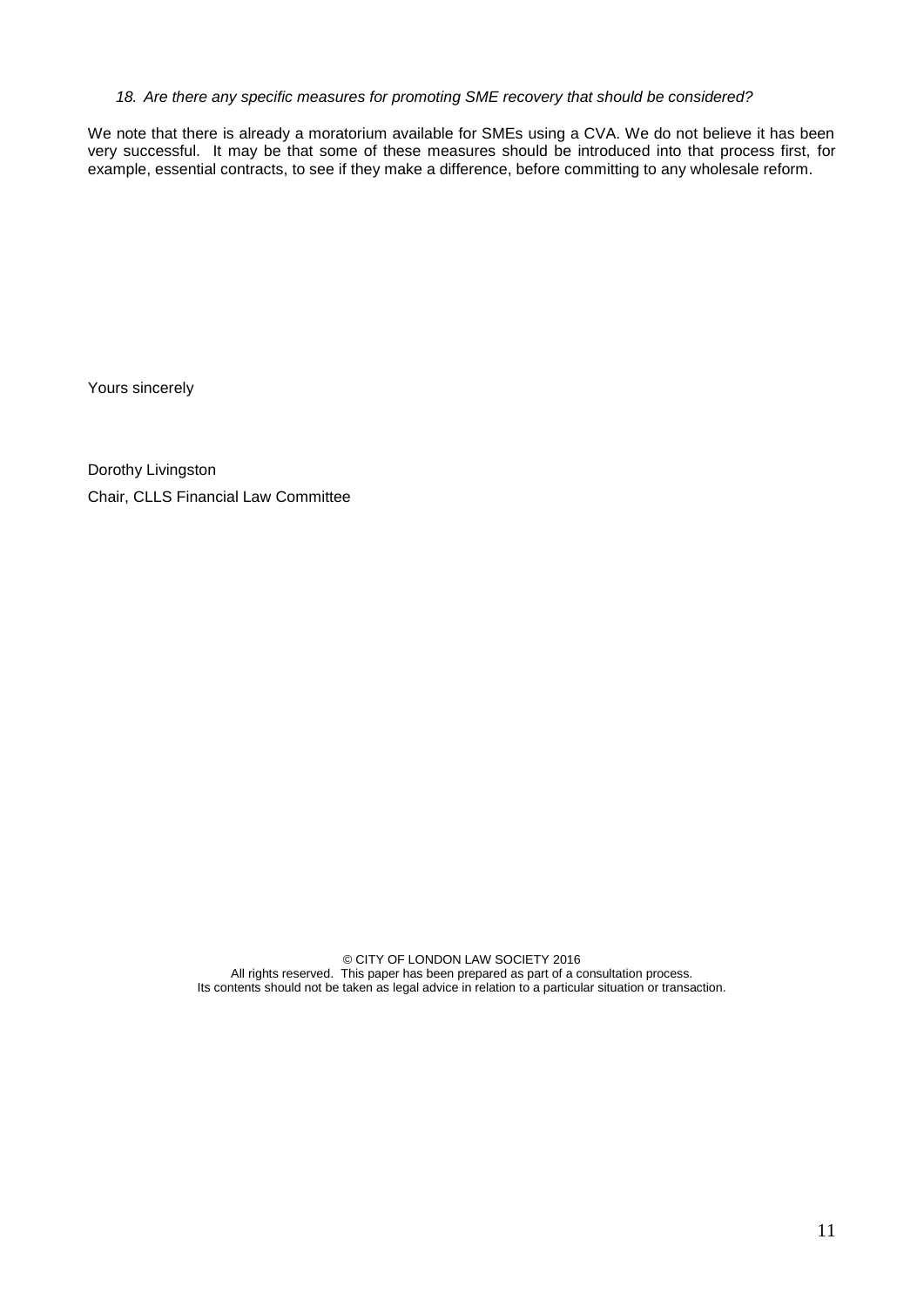### *18. Are there any specific measures for promoting SME recovery that should be considered?*

We note that there is already a moratorium available for SMEs using a CVA. We do not believe it has been very successful. It may be that some of these measures should be introduced into that process first, for example, essential contracts, to see if they make a difference, before committing to any wholesale reform.

Yours sincerely

Dorothy Livingston Chair, CLLS Financial Law Committee

> © CITY OF LONDON LAW SOCIETY 2016 All rights reserved. This paper has been prepared as part of a consultation process. Its contents should not be taken as legal advice in relation to a particular situation or transaction.